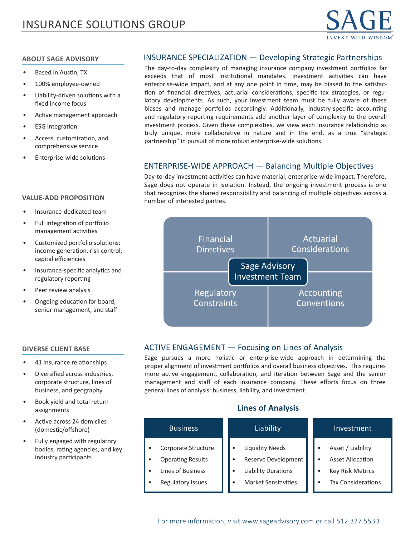

#### **ABOUT SAGE ADVISORY**

- Based in Austin, TX
- 100% employee-owned
- Liability-driven solutions with a fixed income focus
- Active management approach
- **ESG** integration
- Access, customization, and comprehensive service
- Enterprise-wide solutions

#### **VALUE-ADD PROPOSITION**

- Insurance-dedicated team
- Full integration of portfolio management activities
- Customized portfolio solutions: income generation, risk control, capital efficiencies
- Insurance-specific analytics and regulatory reporting
- Peer review analysis
- Ongoing education for board, senior management, and staff

#### **DIVERSE CLIENT BASE**

- 41 insurance relationships
- Diversified across industries, corporate structure, lines of business, and geography
- Book yield and total return assignments
- Active across 24 domiciles (domestic/offshore)
- Fully engaged with regulatory bodies, rating agencies, and key industry participants

## INSURANCE SPECIALIZATION — Developing Strategic Partnerships

The day-to-day complexity of managing insurance company investment portfolios far exceeds that of most institutional mandates. Investment activities can have enterprise-wide impact, and at any one point in time, may be biased to the satisfaction of financial directives, actuarial considerations, specific tax strategies, or regulatory developments. As such, your investment team must be fully aware of these biases and manage portfolios accordingly. Additionally, industry-specific accounting and regulatory reporting requirements add another layer of complexity to the overall investment process. Given these complexities, we view each insurance relationship as truly unique, more collaborative in nature and in the end, as a true "strategic partnership" in pursuit of more robust enterprise-wide solutions.

## ENTERPRISE-WIDE APPROACH — Balancing Multiple Objectives

Day-to-day investment activities can have material, enterprise-wide impact. Therefore, Sage does not operate in isolation. Instead, the ongoing investment process is one that recognizes the shared responsibility and balancing of multiple objectives across a number of interested parties.



#### ACTIVE ENGAGEMENT — Focusing on Lines of Analysis

Sage pursues a more holistic or enterprise-wide approach in determining the proper alignment of investment portfolios and overall business objectives. This requires more active engagement, collaboration, and iteration between Sage and the senior management and staff of each insurance company. These efforts focus on three general lines of analysis: business, liability, and investment.

## **Lines of Analysis**

| <b>Business</b>                                                                                                      | Liability                                                                                                  | Investment                                                                                    |
|----------------------------------------------------------------------------------------------------------------------|------------------------------------------------------------------------------------------------------------|-----------------------------------------------------------------------------------------------|
| Corporate Structure<br>٠<br><b>Operating Results</b><br>٠<br>Lines of Business<br>٠<br><b>Regulatory Issues</b><br>٠ | <b>Liquidity Needs</b><br>Reserve Development<br><b>Liability Durations</b><br><b>Market Sensitivities</b> | Asset / Liability<br><b>Asset Allocation</b><br><b>Key Risk Metrics</b><br>Tax Considerations |